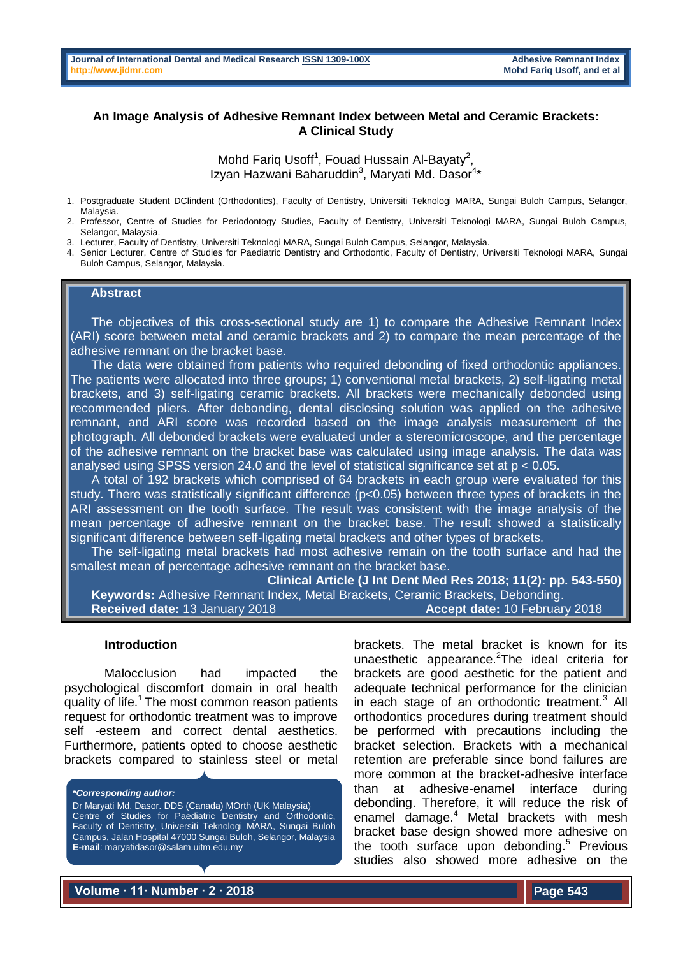# **An Image Analysis of Adhesive Remnant Index between Metal and Ceramic Brackets: A Clinical Study**

Mohd Fariq Usoff<sup>1</sup>, Fouad Hussain Al-Bayaty<sup>2</sup>, Izyan Hazwani Baharuddin<sup>3</sup>, Maryati Md. Dasor<sup>4\*</sup>

1. Postgraduate Student DClindent (Orthodontics), Faculty of Dentistry, Universiti Teknologi MARA, Sungai Buloh Campus, Selangor, Malaysia.

2. Professor, Centre of Studies for Periodontogy Studies, Faculty of Dentistry, Universiti Teknologi MARA, Sungai Buloh Campus, Selangor, Malaysia.

3. Lecturer, Faculty of Dentistry, Universiti Teknologi MARA, Sungai Buloh Campus, Selangor, Malaysia.

4. Senior Lecturer, Centre of Studies for Paediatric Dentistry and Orthodontic, Faculty of Dentistry, Universiti Teknologi MARA, Sungai Buloh Campus, Selangor, Malaysia.

## **Abstract**

 The objectives of this cross-sectional study are 1) to compare the Adhesive Remnant Index (ARI) score between metal and ceramic brackets and 2) to compare the mean percentage of the adhesive remnant on the bracket base.

 The data were obtained from patients who required debonding of fixed orthodontic appliances. The patients were allocated into three groups; 1) conventional metal brackets, 2) self-ligating metal brackets, and 3) self-ligating ceramic brackets. All brackets were mechanically debonded using recommended pliers. After debonding, dental disclosing solution was applied on the adhesive remnant, and ARI score was recorded based on the image analysis measurement of the photograph. All debonded brackets were evaluated under a stereomicroscope, and the percentage of the adhesive remnant on the bracket base was calculated using image analysis. The data was analysed using SPSS version 24.0 and the level of statistical significance set at p < 0.05.

 A total of 192 brackets which comprised of 64 brackets in each group were evaluated for this study. There was statistically significant difference (p<0.05) between three types of brackets in the ARI assessment on the tooth surface. The result was consistent with the image analysis of the mean percentage of adhesive remnant on the bracket base. The result showed a statistically significant difference between self-ligating metal brackets and other types of brackets.

 The self-ligating metal brackets had most adhesive remain on the tooth surface and had the smallest mean of percentage adhesive remnant on the bracket base.

**Clinical Article (J Int Dent Med Res 2018; 11(2): pp. 543-550) Keywords:** Adhesive Remnant Index, Metal Brackets, Ceramic Brackets, Debonding. **Received date:** 13 January 2018 **Accept date:** 10 February 2018

### **Introduction**

Malocclusion had impacted the psychological discomfort domain in oral health quality of life. $1$ The most common reason patients request for orthodontic treatment was to improve self -esteem and correct dental aesthetics. Furthermore, patients opted to choose aesthetic brackets compared to stainless steel or metal

*\*Corresponding author:* Dr Maryati Md. Dasor. DDS (Canada) MOrth (UK Malaysia) Centre of Studies for Paediatric Dentistry and Orthodontic. Faculty of Dentistry, Universiti Teknologi MARA, Sungai Buloh Campus, Jalan Hospital 47000 Sungai Buloh, Selangor, Malaysia **E-mail**: maryatidasor@salam.uitm.edu.my

brackets. The metal bracket is known for its unaesthetic appearance. The ideal criteria for brackets are good aesthetic for the patient and adequate technical performance for the clinician in each stage of an orthodontic treatment. $3$  All orthodontics procedures during treatment should be performed with precautions including the bracket selection. Brackets with a mechanical retention are preferable since bond failures are more common at the bracket-adhesive interface than at adhesive-enamel interface during debonding. Therefore, it will reduce the risk of enamel damage.<sup>4</sup> Metal brackets with mesh bracket base design showed more adhesive on the tooth surface upon debonding.<sup>5</sup> Previous studies also showed more adhesive on the

**Volume ∙ 11∙ Number ∙ 2 ∙ 2018**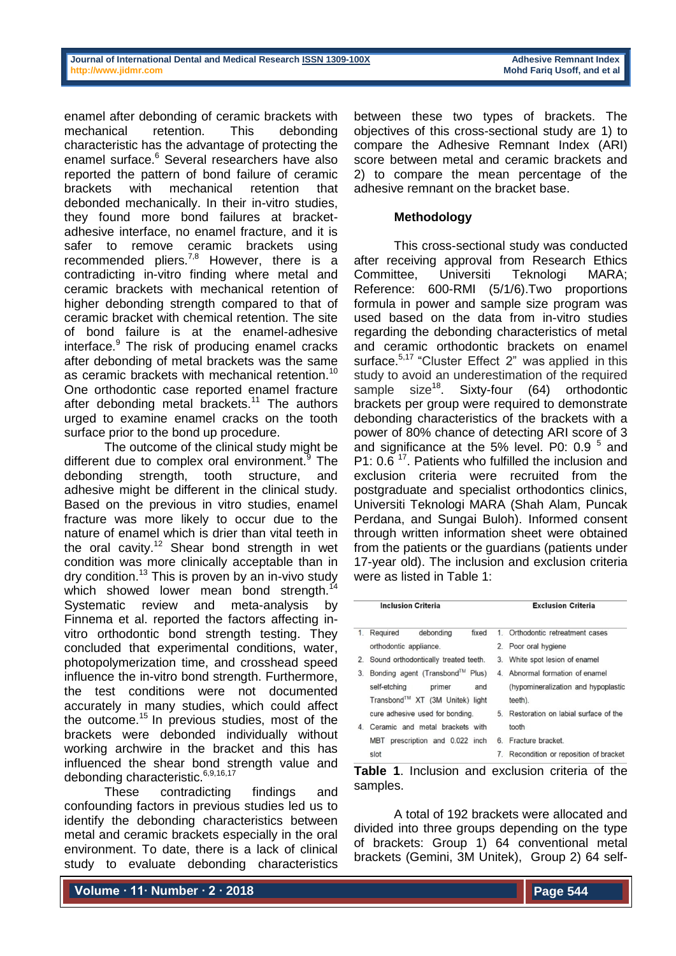enamel after debonding of ceramic brackets with mechanical retention. This debonding characteristic has the advantage of protecting the enamel surface.<sup>6</sup> Several researchers have also reported the pattern of bond failure of ceramic brackets with mechanical retention that debonded mechanically. In their in-vitro studies, they found more bond failures at bracketadhesive interface, no enamel fracture, and it is safer to remove ceramic brackets using recommended pliers.<sup>7,8</sup> However, there is a contradicting in-vitro finding where metal and ceramic brackets with mechanical retention of higher debonding strength compared to that of ceramic bracket with chemical retention. The site of bond failure is at the enamel-adhesive interface.<sup>9</sup> The risk of producing enamel cracks after debonding of metal brackets was the same as ceramic brackets with mechanical retention.<sup>10</sup> One orthodontic case reported enamel fracture after debonding metal brackets.<sup>11</sup> The authors urged to examine enamel cracks on the tooth surface prior to the bond up procedure.

The outcome of the clinical study might be different due to complex oral environment.<sup>9</sup> The debonding strength, tooth structure, and adhesive might be different in the clinical study. Based on the previous in vitro studies, enamel fracture was more likely to occur due to the nature of enamel which is drier than vital teeth in the oral cavity.<sup>12</sup> Shear bond strength in wet condition was more clinically acceptable than in dry condition.<sup>13</sup> This is proven by an in-vivo study which showed lower mean bond strength.<sup>14</sup> Systematic review and meta-analysis by Finnema et al. reported the factors affecting invitro orthodontic bond strength testing. They concluded that experimental conditions, water, photopolymerization time, and crosshead speed influence the in-vitro bond strength. Furthermore, the test conditions were not documented accurately in many studies, which could affect the outcome.<sup>15</sup> In previous studies, most of the brackets were debonded individually without working archwire in the bracket and this has influenced the shear bond strength value and debonding characteristic.<sup>6,9,16,17</sup>

These contradicting findings and confounding factors in previous studies led us to identify the debonding characteristics between metal and ceramic brackets especially in the oral environment. To date, there is a lack of clinical study to evaluate debonding characteristics

between these two types of brackets. The objectives of this cross-sectional study are 1) to compare the Adhesive Remnant Index (ARI) score between metal and ceramic brackets and 2) to compare the mean percentage of the adhesive remnant on the bracket base.

# **Methodology**

This cross-sectional study was conducted after receiving approval from Research Ethics Committee, Universiti Teknologi MARA; Reference: 600-RMI (5/1/6).Two proportions formula in power and sample size program was used based on the data from in-vitro studies regarding the debonding characteristics of metal and ceramic orthodontic brackets on enamel surface.<sup>5,17</sup> "Cluster Effect 2" was applied in this study to avoid an underestimation of the required sample size<sup>18</sup>. Sixty-four (64) orthodontic brackets per group were required to demonstrate debonding characteristics of the brackets with a power of 80% chance of detecting ARI score of 3 and significance at the 5% level. P0: 0.9  $^5$  and P1: 0.6<sup>17</sup>. Patients who fulfilled the inclusion and exclusion criteria were recruited from the postgraduate and specialist orthodontics clinics, Universiti Teknologi MARA (Shah Alam, Puncak Perdana, and Sungai Buloh). Informed consent through written information sheet were obtained from the patients or the guardians (patients under 17-year old). The inclusion and exclusion criteria were as listed in Table 1:

| <b>Inclusion Criteria</b> |                                                                                                     |       | <b>Exclusion Criteria</b>                                                         |  |  |
|---------------------------|-----------------------------------------------------------------------------------------------------|-------|-----------------------------------------------------------------------------------|--|--|
| 1.                        | Required<br>debonding<br>fixed                                                                      | $1 -$ | Orthodontic retreatment cases                                                     |  |  |
|                           | orthodontic appliance.                                                                              |       | 2. Poor oral hygiene                                                              |  |  |
| 2.                        | Sound orthodontically treated teeth.                                                                |       | 3. White spot lesion of enamel                                                    |  |  |
| 3.                        | Bonding agent (Transbond™ Plus)<br>self-etching<br>and<br>primer<br>Transbond™ XT (3M Unitek) light |       | 4. Abnormal formation of enamel<br>(hypomineralization and hypoplastic<br>teeth). |  |  |
|                           | cure adhesive used for bonding.                                                                     |       | 5. Restoration on labial surface of the                                           |  |  |
| $\overline{4}$            | Ceramic and metal brackets with                                                                     |       | tooth                                                                             |  |  |
|                           | prescription and 0.022 inch<br>MBT.                                                                 |       | 6. Fracture bracket                                                               |  |  |
|                           | slot                                                                                                |       | 7. Recondition or reposition of bracket                                           |  |  |

**Table 1**. Inclusion and exclusion criteria of the samples.

A total of 192 brackets were allocated and divided into three groups depending on the type of brackets: Group 1) 64 conventional metal brackets (Gemini, 3M Unitek), Group 2) 64 self-

**Volume ∙ 11∙ Number ∙ 2 ∙ 2018**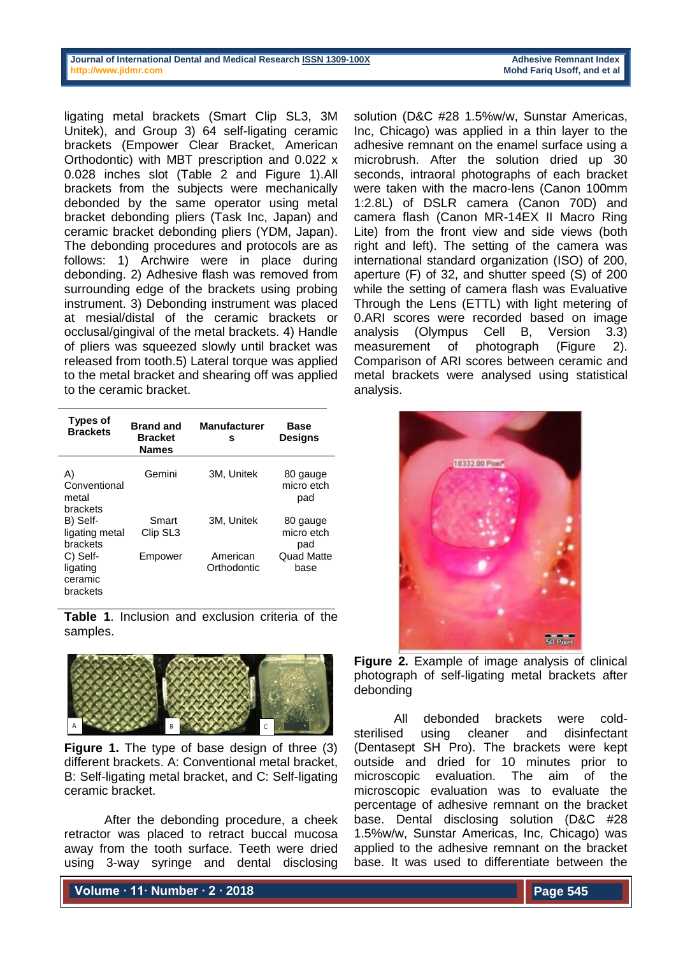#### **Journal of International Dental and Medical Researc[h ISSN 1309-100X](http://www.ektodermaldisplazi.com/dergi.htm) Adhesive Remnant Index [http://www.jidmr.com](http://www.jidmr.com/) Mohd Fariq Usoff, and et al**

ligating metal brackets (Smart Clip SL3, 3M Unitek), and Group 3) 64 self-ligating ceramic brackets (Empower Clear Bracket, American Orthodontic) with MBT prescription and 0.022 x 0.028 inches slot (Table 2 and Figure 1).All brackets from the subjects were mechanically debonded by the same operator using metal bracket debonding pliers (Task Inc, Japan) and ceramic bracket debonding pliers (YDM, Japan). The debonding procedures and protocols are as follows: 1) Archwire were in place during debonding. 2) Adhesive flash was removed from surrounding edge of the brackets using probing instrument. 3) Debonding instrument was placed at mesial/distal of the ceramic brackets or occlusal/gingival of the metal brackets. 4) Handle of pliers was squeezed slowly until bracket was released from tooth.5) Lateral torque was applied to the metal bracket and shearing off was applied to the ceramic bracket.

| Types of<br><b>Brackets</b>                 | <b>Brand and</b><br><b>Bracket</b><br><b>Names</b> | <b>Manufacturer</b><br>s | Base<br><b>Designs</b>        |
|---------------------------------------------|----------------------------------------------------|--------------------------|-------------------------------|
| A)<br>Conventional<br>metal<br>brackets     | Gemini                                             | 3M, Unitek               | 80 gauge<br>micro etch<br>pad |
| B) Self-<br>ligating metal<br>brackets      | Smart<br>Clip SL <sub>3</sub>                      | 3M, Unitek               | 80 gauge<br>micro etch<br>pad |
| C) Self-<br>ligating<br>ceramic<br>brackets | Empower                                            | American<br>Orthodontic  | <b>Quad Matte</b><br>base     |

**Table 1**. Inclusion and exclusion criteria of the samples.



**Figure 1.** The type of base design of three (3) different brackets. A: Conventional metal bracket, B: Self-ligating metal bracket, and C: Self-ligating ceramic bracket.

After the debonding procedure, a cheek retractor was placed to retract buccal mucosa away from the tooth surface. Teeth were dried using 3-way syringe and dental disclosing

solution (D&C #28 1.5%w/w, Sunstar Americas, Inc, Chicago) was applied in a thin layer to the adhesive remnant on the enamel surface using a microbrush. After the solution dried up 30 seconds, intraoral photographs of each bracket were taken with the macro-lens (Canon 100mm 1:2.8L) of DSLR camera (Canon 70D) and camera flash (Canon MR-14EX II Macro Ring Lite) from the front view and side views (both right and left). The setting of the camera was international standard organization (ISO) of 200, aperture (F) of 32, and shutter speed (S) of 200 while the setting of camera flash was Evaluative Through the Lens (ETTL) with light metering of 0.ARI scores were recorded based on image analysis (Olympus Cell B, Version 3.3) measurement of photograph (Figure 2). Comparison of ARI scores between ceramic and metal brackets were analysed using statistical analysis.



**Figure 2.** Example of image analysis of clinical photograph of self-ligating metal brackets after debonding

All debonded brackets were coldsterilised using cleaner and disinfectant (Dentasept SH Pro). The brackets were kept outside and dried for 10 minutes prior to microscopic evaluation. The aim of the microscopic evaluation was to evaluate the percentage of adhesive remnant on the bracket base. Dental disclosing solution (D&C #28 1.5%w/w, Sunstar Americas, Inc, Chicago) was applied to the adhesive remnant on the bracket base. It was used to differentiate between the

**Volume ∙ 11∙ Number ∙ 2 ∙ 2018**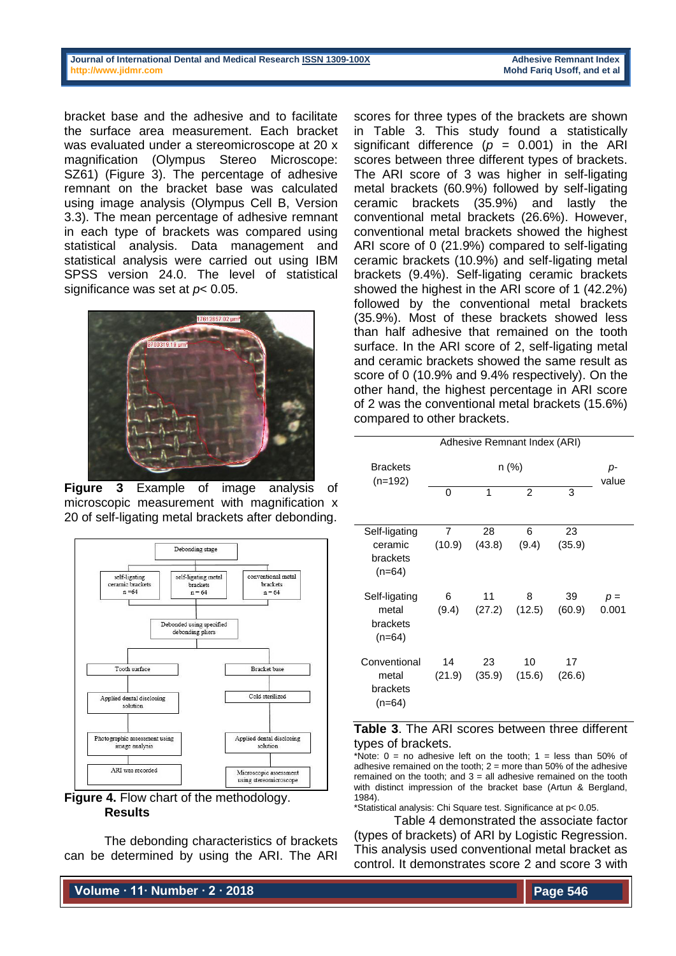#### **Journal of International Dental and Medical Researc[h ISSN 1309-100X](http://www.ektodermaldisplazi.com/dergi.htm) Adhesive Remnant Index [http://www.jidmr.com](http://www.jidmr.com/) Mohd Fariq Usoff, and et al**

bracket base and the adhesive and to facilitate the surface area measurement. Each bracket was evaluated under a stereomicroscope at 20 x magnification (Olympus Stereo Microscope: SZ61) (Figure 3). The percentage of adhesive remnant on the bracket base was calculated using image analysis (Olympus Cell B, Version 3.3). The mean percentage of adhesive remnant in each type of brackets was compared using statistical analysis. Data management and statistical analysis were carried out using IBM SPSS version 24.0. The level of statistical significance was set at *p*< 0.05.



**Figure 3** Example of image analysis of microscopic measurement with magnification x 20 of self-ligating metal brackets after debonding.



**Figure 4. Flow chart of the methodology. Results**

The debonding characteristics of brackets can be determined by using the ARI. The ARI

**Volume ∙ 11∙ Number ∙ 2 ∙ 2018**

scores for three types of the brackets are shown in Table 3. This study found a statistically significant difference  $(p = 0.001)$  in the ARI scores between three different types of brackets. The ARI score of 3 was higher in self-ligating metal brackets (60.9%) followed by self-ligating ceramic brackets (35.9%) and lastly the conventional metal brackets (26.6%). However, conventional metal brackets showed the highest ARI score of 0 (21.9%) compared to self-ligating ceramic brackets (10.9%) and self-ligating metal brackets (9.4%). Self-ligating ceramic brackets showed the highest in the ARI score of 1 (42.2%) followed by the conventional metal brackets (35.9%). Most of these brackets showed less than half adhesive that remained on the tooth surface. In the ARI score of 2, self-ligating metal and ceramic brackets showed the same result as score of 0 (10.9% and 9.4% respectively). On the other hand, the highest percentage in ARI score of 2 was the conventional metal brackets (15.6%) compared to other brackets.

|                                                  | Adhesive Remnant Index (ARI) |              |                         |              |                |
|--------------------------------------------------|------------------------------|--------------|-------------------------|--------------|----------------|
| <b>Brackets</b><br>$(n=192)$                     |                              | p-<br>value  |                         |              |                |
|                                                  | 0                            | 1            | $\overline{2}$          | 3            |                |
| Self-ligating<br>ceramic<br>brackets<br>$(n=64)$ | 7<br>(10.9)                  | 28<br>(43.8) | 6<br>(9.4)              | 23<br>(35.9) |                |
| Self-ligating<br>metal<br>brackets<br>$(n=64)$   | 6<br>(9.4)                   | 11           | 8<br>$(27.2)$ $(12.5)$  | 39<br>(60.9) | $p =$<br>0.001 |
| Conventional<br>metal<br>brackets<br>$(n=64)$    | 14<br>(21.9)                 | 23           | 10<br>$(35.9)$ $(15.6)$ | 17<br>(26.6) |                |

## **Table 3**. The ARI scores between three different types of brackets.

\*Note:  $0 =$  no adhesive left on the tooth:  $1 =$  less than 50% of adhesive remained on the tooth;  $2 =$  more than 50% of the adhesive remained on the tooth; and  $3 =$  all adhesive remained on the tooth with distinct impression of the bracket base (Artun & Bergland, 1984).

\*Statistical analysis: Chi Square test. Significance at p< 0.05.

Table 4 demonstrated the associate factor (types of brackets) of ARI by Logistic Regression. This analysis used conventional metal bracket as control. It demonstrates score 2 and score 3 with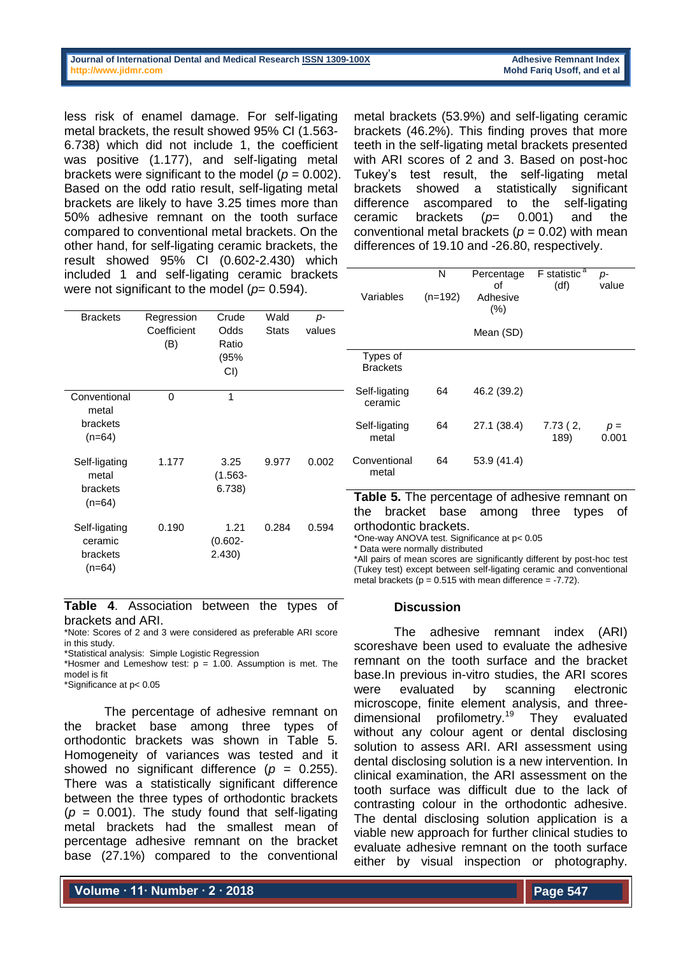#### **Journal of International Dental and Medical Researc[h ISSN 1309-100X](http://www.ektodermaldisplazi.com/dergi.htm) Adhesive Remnant Index [http://www.jidmr.com](http://www.jidmr.com/) Mohd Fariq Usoff, and et al**

less risk of enamel damage. For self-ligating metal brackets, the result showed 95% CI (1.563- 6.738) which did not include 1, the coefficient was positive (1.177), and self-ligating metal brackets were significant to the model ( $p = 0.002$ ). Based on the odd ratio result, self-ligating metal brackets are likely to have 3.25 times more than 50% adhesive remnant on the tooth surface compared to conventional metal brackets. On the other hand, for self-ligating ceramic brackets, the result showed 95% CI (0.602-2.430) which included 1 and self-ligating ceramic brackets were not significant to the model ( $p= 0.594$ ).

metal brackets (53.9%) and self-ligating ceramic brackets (46.2%). This finding proves that more teeth in the self-ligating metal brackets presented with ARI scores of 2 and 3. Based on post-hoc Tukey's test result, the self-ligating metal brackets showed a statistically significant difference ascompared to the self-ligating ceramic brackets (*p*= 0.001) and the conventional metal brackets (*p* = 0.02) with mean differences of 19.10 and -26.80, respectively.

| Variables                   | N<br>$(n=192)$ | Percentage<br>οf<br>Adhesive<br>(% ) | $F$ statistic <sup>a</sup><br>(df) | p-<br>value    |
|-----------------------------|----------------|--------------------------------------|------------------------------------|----------------|
|                             |                | Mean (SD)                            |                                    |                |
| Types of<br><b>Brackets</b> |                |                                      |                                    |                |
| Self-ligating<br>ceramic    | 64             | 46.2 (39.2)                          |                                    |                |
| Self-ligating<br>metal      | 64             | 27.1 (38.4)                          | 7.73(2,<br>189)                    | $p =$<br>0.001 |
| Conventional<br>metal       | 64             | 53.9 (41.4)                          |                                    |                |

**Table 5.** The percentage of adhesive remnant on the bracket base among three types of orthodontic brackets.

\*One-way ANOVA test. Significance at p< 0.05

\* Data were normally distributed

\*All pairs of mean scores are significantly different by post-hoc test (Tukey test) except between self-ligating ceramic and conventional metal brackets ( $p = 0.515$  with mean difference = -7.72).

#### **Discussion**

The adhesive remnant index (ARI) scoreshave been used to evaluate the adhesive remnant on the tooth surface and the bracket base.In previous in-vitro studies, the ARI scores were evaluated by scanning electronic microscope, finite element analysis, and threedimensional profilometry.<sup>19</sup> They evaluated without any colour agent or dental disclosing solution to assess ARI. ARI assessment using dental disclosing solution is a new intervention. In clinical examination, the ARI assessment on the tooth surface was difficult due to the lack of contrasting colour in the orthodontic adhesive. The dental disclosing solution application is a viable new approach for further clinical studies to evaluate adhesive remnant on the tooth surface either by visual inspection or photography.

Brackets Regression **Coefficient** (B) **Crude Odds** Ratio (95%  $\sim$ **Wald Stats** *p*values

|                                                |       | CD)                          |       |       |
|------------------------------------------------|-------|------------------------------|-------|-------|
| Conventional<br>metal<br>brackets<br>$(n=64)$  | Ω     | 1                            |       |       |
| Self-ligating<br>metal<br>brackets<br>$(n=64)$ | 1.177 | 3.25<br>$(1.563 -$<br>6.738) | 9.977 | 0.002 |
| Self-ligating<br>ceramic<br>brackets<br>(n=64) | 0.190 | 1.21<br>$(0.602 -$<br>2.430) | 0.284 | 0.594 |

**Table 4**. Association between the types of brackets and ARI.

\*Note: Scores of 2 and 3 were considered as preferable ARI score in this study.

\*Statistical analysis: Simple Logistic Regression

\*Hosmer and Lemeshow test:  $p = 1.00$ . Assumption is met. The model is fit

\*Significance at p< 0.05

The percentage of adhesive remnant on the bracket base among three types of orthodontic brackets was shown in Table 5. Homogeneity of variances was tested and it showed no significant difference (*p* = 0.255). There was a statistically significant difference between the three types of orthodontic brackets  $(p = 0.001)$ . The study found that self-ligating metal brackets had the smallest mean of percentage adhesive remnant on the bracket base (27.1%) compared to the conventional

**Volume ∙ 11∙ Number ∙ 2 ∙ 2018**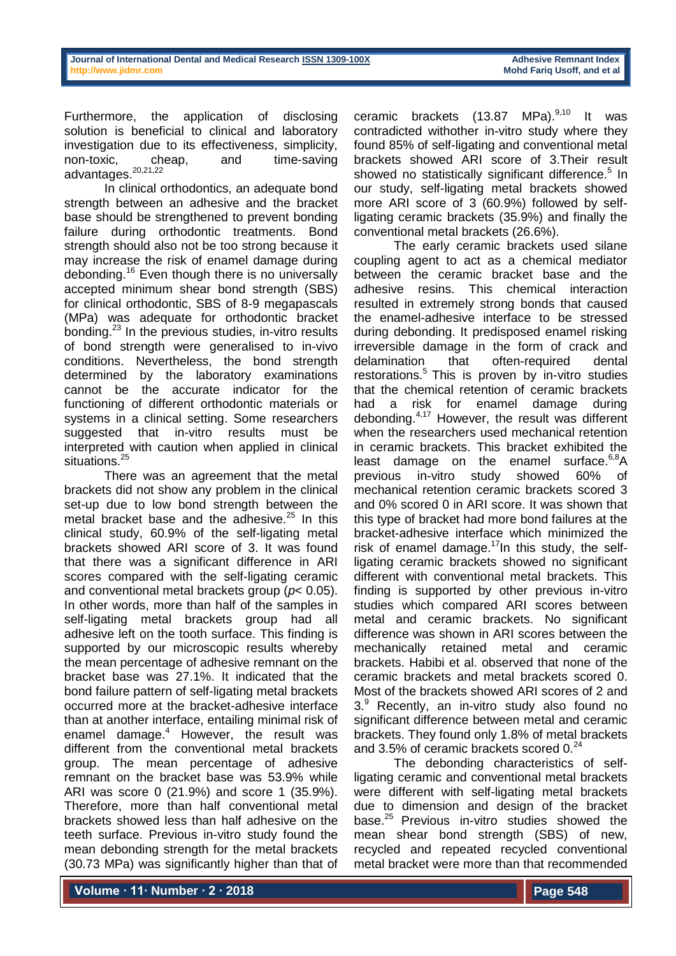Furthermore, the application of disclosing solution is beneficial to clinical and laboratory investigation due to its effectiveness, simplicity, non-toxic, cheap, and time-saving  $advantages.<sup>20,21,22</sup>$ 

In clinical orthodontics, an adequate bond strength between an adhesive and the bracket base should be strengthened to prevent bonding failure during orthodontic treatments. Bond strength should also not be too strong because it may increase the risk of enamel damage during debonding.<sup>16</sup> Even though there is no universally accepted minimum shear bond strength (SBS) for clinical orthodontic, SBS of 8-9 megapascals (MPa) was adequate for orthodontic bracket bonding.<sup>23</sup> In the previous studies, in-vitro results of bond strength were generalised to in-vivo conditions. Nevertheless, the bond strength determined by the laboratory examinations cannot be the accurate indicator for the functioning of different orthodontic materials or systems in a clinical setting. Some researchers suggested that in-vitro results must be interpreted with caution when applied in clinical situations.<sup>25</sup>

There was an agreement that the metal brackets did not show any problem in the clinical set-up due to low bond strength between the metal bracket base and the adhesive. $25$  In this clinical study, 60.9% of the self-ligating metal brackets showed ARI score of 3. It was found that there was a significant difference in ARI scores compared with the self-ligating ceramic and conventional metal brackets group (*p*< 0.05). In other words, more than half of the samples in self-ligating metal brackets group had all adhesive left on the tooth surface. This finding is supported by our microscopic results whereby the mean percentage of adhesive remnant on the bracket base was 27.1%. It indicated that the bond failure pattern of self-ligating metal brackets occurred more at the bracket-adhesive interface than at another interface, entailing minimal risk of enamel damage.<sup>4</sup> However, the result was different from the conventional metal brackets group. The mean percentage of adhesive remnant on the bracket base was 53.9% while ARI was score 0 (21.9%) and score 1 (35.9%). Therefore, more than half conventional metal brackets showed less than half adhesive on the teeth surface. Previous in-vitro study found the mean debonding strength for the metal brackets (30.73 MPa) was significantly higher than that of

ceramic brackets  $(13.87 \text{ MPa})^{9,10}$  It was contradicted withother in-vitro study where they found 85% of self-ligating and conventional metal brackets showed ARI score of 3.Their result showed no statistically significant difference.<sup>5</sup> In our study, self-ligating metal brackets showed more ARI score of 3 (60.9%) followed by selfligating ceramic brackets (35.9%) and finally the conventional metal brackets (26.6%).

The early ceramic brackets used silane coupling agent to act as a chemical mediator between the ceramic bracket base and the adhesive resins. This chemical interaction resulted in extremely strong bonds that caused the enamel-adhesive interface to be stressed during debonding. It predisposed enamel risking irreversible damage in the form of crack and delamination that often-required dental restorations.<sup>5</sup> This is proven by in-vitro studies that the chemical retention of ceramic brackets had a risk for enamel damage during debonding.4,17 However, the result was different when the researchers used mechanical retention in ceramic brackets. This bracket exhibited the least damage on the enamel surface.<sup>6,8</sup>A previous in-vitro study showed 60% of mechanical retention ceramic brackets scored 3 and 0% scored 0 in ARI score. It was shown that this type of bracket had more bond failures at the bracket-adhesive interface which minimized the risk of enamel damage. $17$ In this study, the selfligating ceramic brackets showed no significant different with conventional metal brackets. This finding is supported by other previous in-vitro studies which compared ARI scores between metal and ceramic brackets. No significant difference was shown in ARI scores between the mechanically retained metal and ceramic brackets. Habibi et al. observed that none of the ceramic brackets and metal brackets scored 0. Most of the brackets showed ARI scores of 2 and  $3.9$  Recently, an in-vitro study also found no significant difference between metal and ceramic brackets. They found only 1.8% of metal brackets and 3.5% of ceramic brackets scored 0.<sup>24</sup>

The debonding characteristics of selfligating ceramic and conventional metal brackets were different with self-ligating metal brackets due to dimension and design of the bracket base.<sup>25</sup> Previous in-vitro studies showed the mean shear bond strength (SBS) of new, recycled and repeated recycled conventional metal bracket were more than that recommended

**Volume ∙ 11∙ Number ∙ 2 ∙ 2018**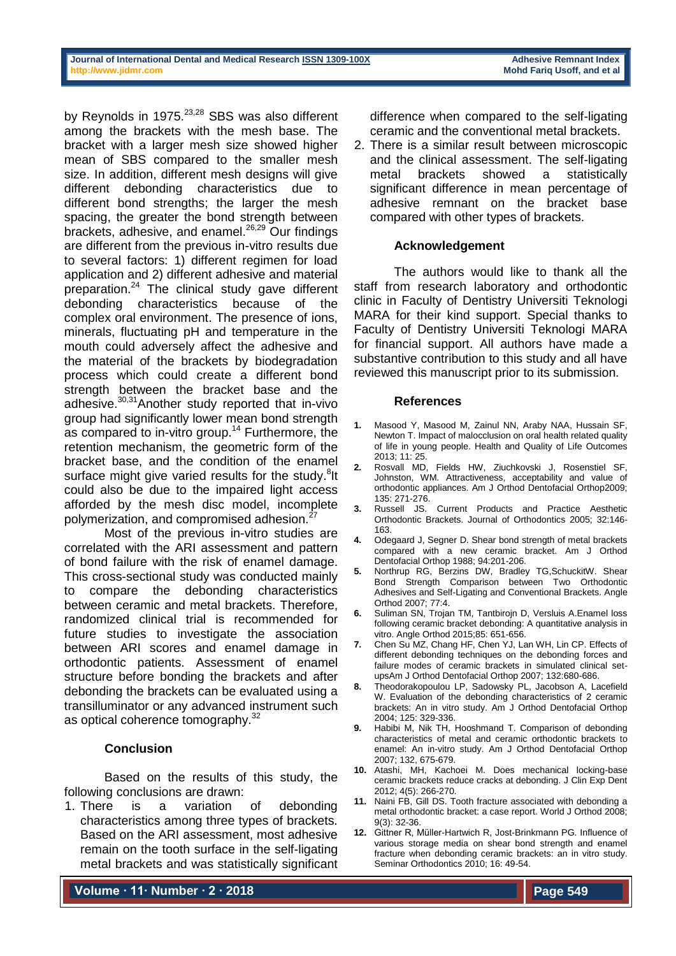by Reynolds in 1975.<sup>23,28</sup> SBS was also different among the brackets with the mesh base. The bracket with a larger mesh size showed higher mean of SBS compared to the smaller mesh size. In addition, different mesh designs will give different debonding characteristics due to different bond strengths; the larger the mesh spacing, the greater the bond strength between brackets, adhesive, and enamel.<sup>26,29</sup> Our findings are different from the previous in-vitro results due to several factors: 1) different regimen for load application and 2) different adhesive and material preparation.<sup>24</sup> The clinical study gave different debonding characteristics because of the complex oral environment. The presence of ions, minerals, fluctuating pH and temperature in the mouth could adversely affect the adhesive and the material of the brackets by biodegradation process which could create a different bond strength between the bracket base and the adhesive.30,31Another study reported that in-vivo group had significantly lower mean bond strength as compared to in-vitro group.<sup>14</sup> Furthermore, the retention mechanism, the geometric form of the bracket base, and the condition of the enamel surface might give varied results for the study.<sup>8</sup>lt could also be due to the impaired light access afforded by the mesh disc model, incomplete polymerization, and compromised adhesion.<sup>27</sup>

Most of the previous in-vitro studies are correlated with the ARI assessment and pattern of bond failure with the risk of enamel damage. This cross-sectional study was conducted mainly to compare the debonding characteristics between ceramic and metal brackets. Therefore, randomized clinical trial is recommended for future studies to investigate the association between ARI scores and enamel damage in orthodontic patients. Assessment of enamel structure before bonding the brackets and after debonding the brackets can be evaluated using a transilluminator or any advanced instrument such as optical coherence tomography.<sup>32</sup>

## **Conclusion**

Based on the results of this study, the following conclusions are drawn:

1. There is a variation of debonding characteristics among three types of brackets. Based on the ARI assessment, most adhesive remain on the tooth surface in the self-ligating metal brackets and was statistically significant

**Volume ∙ 11∙ Number ∙ 2 ∙ 2018**

difference when compared to the self-ligating ceramic and the conventional metal brackets.

2. There is a similar result between microscopic and the clinical assessment. The self-ligating metal brackets showed a statistically significant difference in mean percentage of adhesive remnant on the bracket base compared with other types of brackets.

## **Acknowledgement**

The authors would like to thank all the staff from research laboratory and orthodontic clinic in Faculty of Dentistry Universiti Teknologi MARA for their kind support. Special thanks to Faculty of Dentistry Universiti Teknologi MARA for financial support. All authors have made a substantive contribution to this study and all have reviewed this manuscript prior to its submission.

### **References**

- **1.** Masood Y, Masood M, Zainul NN, Araby NAA, Hussain SF, Newton T. Impact of malocclusion on oral health related quality of life in young people. Health and Quality of Life Outcomes 2013; 11: 25.
- **2.** Rosvall MD, Fields HW, Ziuchkovski J, Rosenstiel SF, Johnston, WM. Attractiveness, acceptability and value of orthodontic appliances. Am J Orthod Dentofacial Orthop2009; 135: 271-276.
- **3.** Russell JS. Current Products and Practice Aesthetic Orthodontic Brackets. Journal of Orthodontics 2005; 32:146- 163.
- **4.** Odegaard J, Segner D. Shear bond strength of metal brackets compared with a new ceramic bracket. Am J Orthod Dentofacial Orthop 1988; 94:201-206.
- **5.** Northrup RG, Berzins DW, Bradley TG,SchuckitW. Shear Bond Strength Comparison between Two Orthodontic Adhesives and Self-Ligating and Conventional Brackets. Angle Orthod 2007; 77:4.
- **6.** Suliman SN, Trojan TM, Tantbirojn D, Versluis A.Enamel loss following ceramic bracket debonding: A quantitative analysis in vitro. Angle Orthod 2015;85: 651-656.
- **7.** Chen Su MZ, Chang HF, Chen YJ, Lan WH, Lin CP. Effects of different debonding techniques on the debonding forces and failure modes of ceramic brackets in simulated clinical setupsAm J Orthod Dentofacial Orthop 2007; 132:680-686.
- **8.** Theodorakopoulou LP, Sadowsky PL, Jacobson A, Lacefield W. Evaluation of the debonding characteristics of 2 ceramic brackets: An in vitro study. Am J Orthod Dentofacial Orthop 2004; 125: 329-336.
- **9.** Habibi M, Nik TH, Hooshmand T. Comparison of debonding characteristics of metal and ceramic orthodontic brackets to enamel: An in-vitro study. Am J Orthod Dentofacial Orthop 2007; 132, 675-679.
- **10.** Atashi, MH, Kachoei M. Does mechanical locking-base ceramic brackets reduce cracks at debonding. J Clin Exp Dent 2012; 4(5): 266-270.
- **11.** Naini FB, Gill DS. Tooth fracture associated with debonding a metal orthodontic bracket: a case report. World J Orthod 2008; 9(3): 32-36.
- **12.** Gittner R, Müller-Hartwich R, Jost-Brinkmann PG. Influence of various storage media on shear bond strength and enamel fracture when debonding ceramic brackets: an in vitro study. Seminar Orthodontics 2010; 16: 49-54.